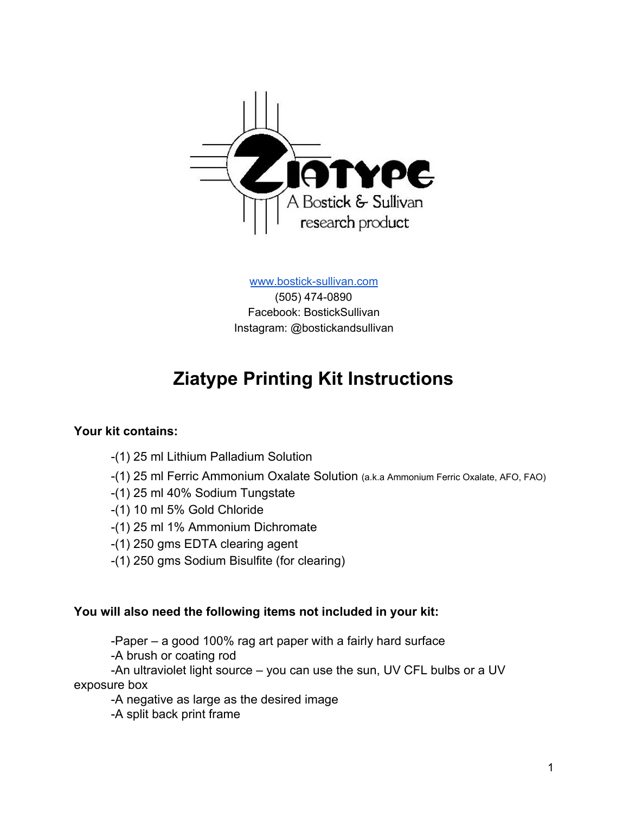

[www.bostick-sullivan.com](http://www.bostick-sullivan.com/)

(505) 474-0890 Facebook: BostickSullivan Instagram: @bostickandsullivan

# **Ziatype Printing Kit Instructions**

#### **Your kit contains:**

- -(1) 25 ml Lithium Palladium Solution
- -(1) 25 ml Ferric Ammonium Oxalate Solution (a.k.a Ammonium Ferric Oxalate, AFO, FAO)
- -(1) 25 ml 40% Sodium Tungstate
- -(1) 10 ml 5% Gold Chloride
- -(1) 25 ml 1% Ammonium Dichromate
- -(1) 250 gms EDTA clearing agent
- -(1) 250 gms Sodium Bisulfite (for clearing)

#### **You will also need the following items not included in your kit:**

-Paper – a good 100% rag art paper with a fairly hard surface

-A brush or coating rod

-An ultraviolet light source – you can use the sun, UV CFL bulbs or a UV exposure box

-A negative as large as the desired image

-A split back print frame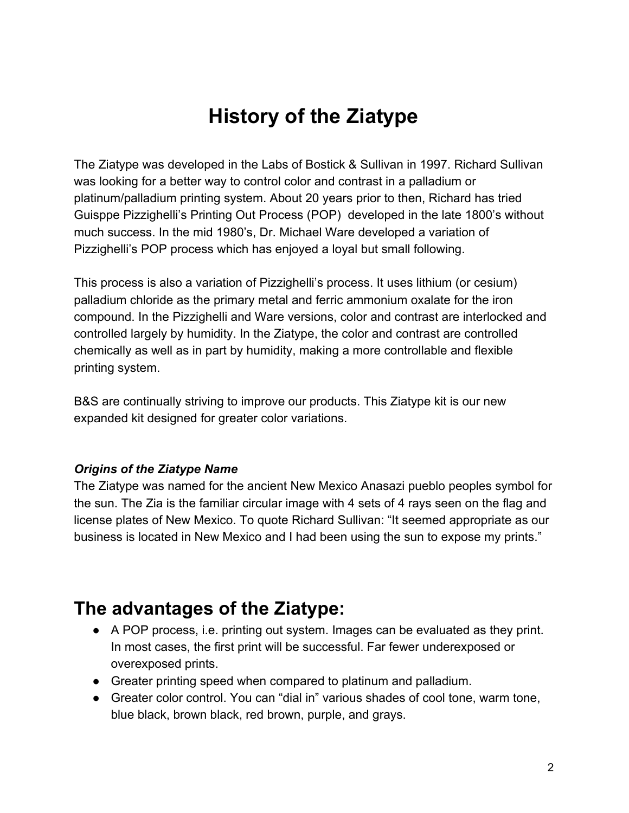# **History of the Ziatype**

The Ziatype was developed in the Labs of Bostick & Sullivan in 1997. Richard Sullivan was looking for a better way to control color and contrast in a palladium or platinum/palladium printing system. About 20 years prior to then, Richard has tried Guisppe Pizzighelli's Printing Out Process (POP) developed in the late 1800's without much success. In the mid 1980's, Dr. Michael Ware developed a variation of Pizzighelli's POP process which has enjoyed a loyal but small following.

This process is also a variation of Pizzighelli's process. It uses lithium (or cesium) palladium chloride as the primary metal and ferric ammonium oxalate for the iron compound. In the Pizzighelli and Ware versions, color and contrast are interlocked and controlled largely by humidity. In the Ziatype, the color and contrast are controlled chemically as well as in part by humidity, making a more controllable and flexible printing system.

B&S are continually striving to improve our products. This Ziatype kit is our new expanded kit designed for greater color variations.

#### *Origins of the Ziatype Name*

The Ziatype was named for the ancient New Mexico Anasazi pueblo peoples symbol for the sun. The Zia is the familiar circular image with 4 sets of 4 rays seen on the flag and license plates of New Mexico. To quote Richard Sullivan: "It seemed appropriate as our business is located in New Mexico and I had been using the sun to expose my prints."

## **The advantages of the Ziatype:**

- A POP process, i.e. printing out system. Images can be evaluated as they print. In most cases, the first print will be successful. Far fewer underexposed or overexposed prints.
- Greater printing speed when compared to platinum and palladium.
- Greater color control. You can "dial in" various shades of cool tone, warm tone, blue black, brown black, red brown, purple, and grays.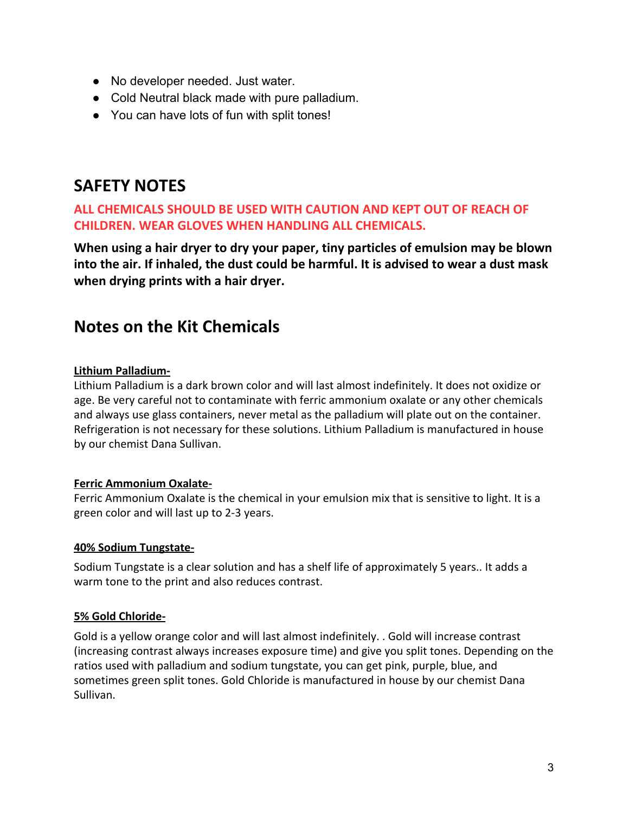- No developer needed. Just water.
- Cold Neutral black made with pure palladium.
- You can have lots of fun with split tones!

## **SAFETY NOTES**

#### **ALL CHEMICALS SHOULD BE USED WITH CAUTION AND KEPT OUT OF REACH OF CHILDREN. WEAR GLOVES WHEN HANDLING ALL CHEMICALS.**

**When using a hair dryer to dry your paper, tiny particles of emulsion may be blown into the air. If inhaled, the dust could be harmful. It is advised to wear a dust mask when drying prints with a hair dryer.**

## **Notes on the Kit Chemicals**

#### **Lithium Palladium-**

Lithium Palladium is a dark brown color and will last almost indefinitely. It does not oxidize or age. Be very careful not to contaminate with ferric ammonium oxalate or any other chemicals and always use glass containers, never metal as the palladium will plate out on the container. Refrigeration is not necessary for these solutions. Lithium Palladium is manufactured in house by our chemist Dana Sullivan.

#### **Ferric Ammonium Oxalate-**

Ferric Ammonium Oxalate is the chemical in your emulsion mix that is sensitive to light. It is a green color and will last up to 2-3 years.

#### **40% Sodium Tungstate-**

Sodium Tungstate is a clear solution and has a shelf life of approximately 5 years.. It adds a warm tone to the print and also reduces contrast.

#### **5% Gold Chloride-**

Gold is a yellow orange color and will last almost indefinitely. . Gold will increase contrast (increasing contrast always increases exposure time) and give you split tones. Depending on the ratios used with palladium and sodium tungstate, you can get pink, purple, blue, and sometimes green split tones. Gold Chloride is manufactured in house by our chemist Dana Sullivan.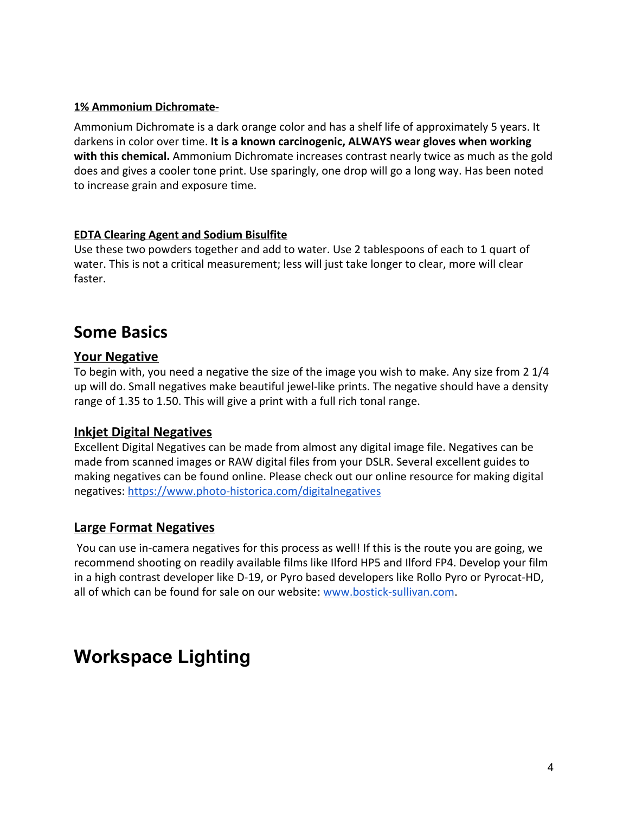#### **1% Ammonium Dichromate-**

Ammonium Dichromate is a dark orange color and has a shelf life of approximately 5 years. It darkens in color over time. **It is a known carcinogenic, ALWAYS wear gloves when working with this chemical.** Ammonium Dichromate increases contrast nearly twice as much as the gold does and gives a cooler tone print. Use sparingly, one drop will go a long way. Has been noted to increase grain and exposure time.

#### **EDTA Clearing Agent and Sodium Bisulfite**

Use these two powders together and add to water. Use 2 tablespoons of each to 1 quart of water. This is not a critical measurement; less will just take longer to clear, more will clear faster.

## **Some Basics**

#### **Your Negative**

To begin with, you need a negative the size of the image you wish to make. Any size from 2 1/4 up will do. Small negatives make beautiful jewel-like prints. The negative should have a density range of 1.35 to 1.50. This will give a print with a full rich tonal range.

#### **Inkjet Digital Negatives**

Excellent Digital Negatives can be made from almost any digital image file. Negatives can be made from scanned images or RAW digital files from your DSLR. Several excellent guides to making negatives can be found online. Please check out our online resource for making digital negatives:<https://www.photo-historica.com/digitalnegatives>

#### **Large Format Negatives**

 You can use in-camera negatives for this process as well! If this is the route you are going, we recommend shooting on readily available films like Ilford HP5 and Ilford FP4. Develop your film in a high contrast developer like D-19, or Pyro based developers like Rollo Pyro or Pyrocat-HD, all of which can be found for sale on our website: [www.bostick-sullivan.com](http://www.bostick-sullivan.com/).

# **Workspace Lighting**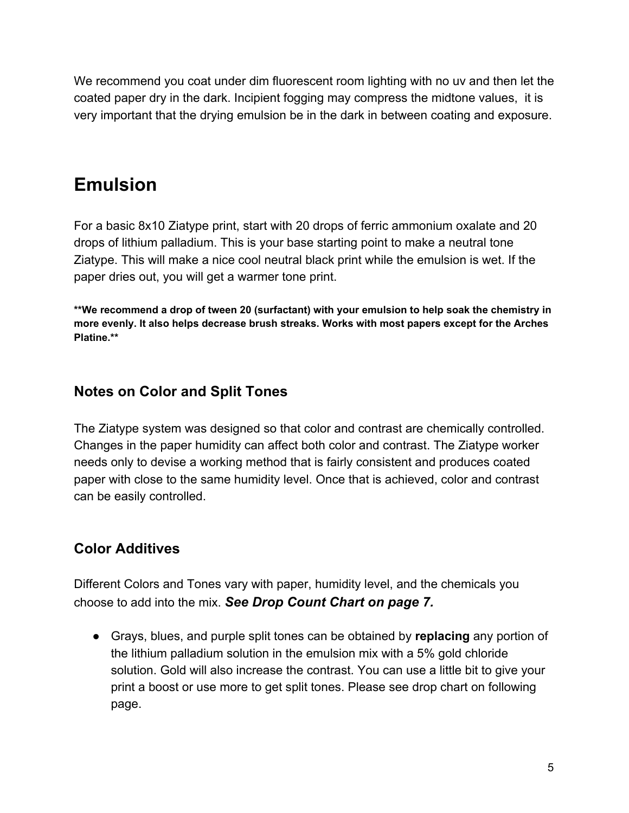We recommend you coat under dim fluorescent room lighting with no uv and then let the coated paper dry in the dark. Incipient fogging may compress the midtone values, it is very important that the drying emulsion be in the dark in between coating and exposure.

# **Emulsion**

For a basic 8x10 Ziatype print, start with 20 drops of ferric ammonium oxalate and 20 drops of lithium palladium. This is your base starting point to make a neutral tone Ziatype. This will make a nice cool neutral black print while the emulsion is wet. If the paper dries out, you will get a warmer tone print.

**\*\*We recommend a drop of tween 20 (surfactant) with your emulsion to help soak the chemistry in more evenly. It also helps decrease brush streaks. Works with most papers except for the Arches Platine.\*\***

### **Notes on Color and Split Tones**

The Ziatype system was designed so that color and contrast are chemically controlled. Changes in the paper humidity can affect both color and contrast. The Ziatype worker needs only to devise a working method that is fairly consistent and produces coated paper with close to the same humidity level. Once that is achieved, color and contrast can be easily controlled.

## **Color Additives**

Different Colors and Tones vary with paper, humidity level, and the chemicals you choose to add into the mix. *See Drop Count Chart on page 7.*

● Grays, blues, and purple split tones can be obtained by **replacing** any portion of the lithium palladium solution in the emulsion mix with a 5% gold chloride solution. Gold will also increase the contrast. You can use a little bit to give your print a boost or use more to get split tones. Please see drop chart on following page.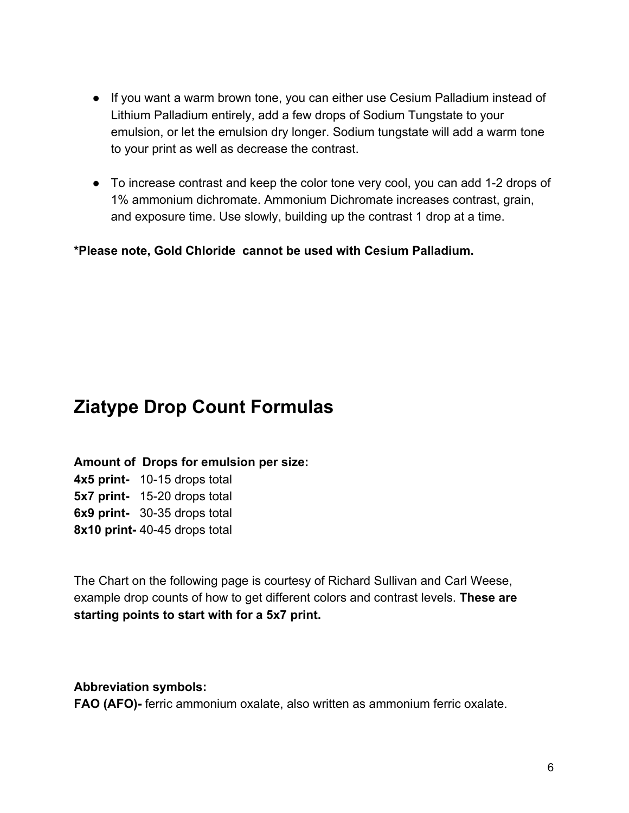- If you want a warm brown tone, you can either use Cesium Palladium instead of Lithium Palladium entirely, add a few drops of Sodium Tungstate to your emulsion, or let the emulsion dry longer. Sodium tungstate will add a warm tone to your print as well as decrease the contrast.
- To increase contrast and keep the color tone very cool, you can add 1-2 drops of 1% ammonium dichromate. Ammonium Dichromate increases contrast, grain, and exposure time. Use slowly, building up the contrast 1 drop at a time.

**\*Please note, Gold Chloride cannot be used with Cesium Palladium.**

# **Ziatype Drop Count Formulas**

**Amount of Drops for emulsion per size: 4x5 print-** 10-15 drops total **5x7 print-** 15-20 drops total **6x9 print-** 30-35 drops total **8x10 print-** 40-45 drops total

The Chart on the following page is courtesy of Richard Sullivan and Carl Weese, example drop counts of how to get different colors and contrast levels. **These are starting points to start with for a 5x7 print.**

#### **Abbreviation symbols:**

**FAO (AFO)-** ferric ammonium oxalate, also written as ammonium ferric oxalate.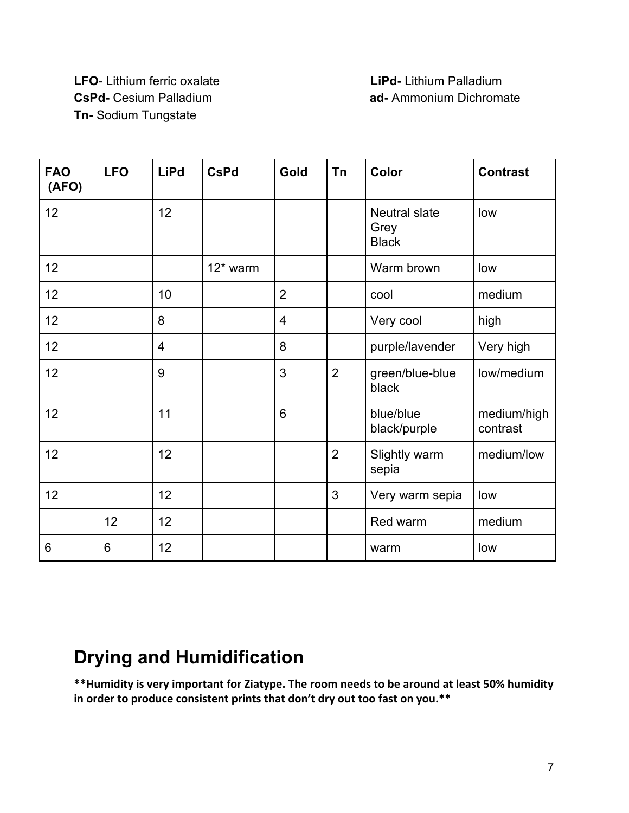# **LFO**- Lithium ferric oxalate **LiPd-** Lithium Palladium **Tn-** Sodium Tungstate

# **CsPd-** Cesium Palladium **ad-Ammonium Dichromate**

| <b>FAO</b><br>(AFO) | <b>LFO</b> | <b>LiPd</b>    | <b>CsPd</b> | Gold           | Tn             | Color                                        | <b>Contrast</b>         |
|---------------------|------------|----------------|-------------|----------------|----------------|----------------------------------------------|-------------------------|
| 12                  |            | 12             |             |                |                | <b>Neutral slate</b><br>Grey<br><b>Black</b> | low                     |
| 12                  |            |                | 12* warm    |                |                | Warm brown                                   | low                     |
| 12                  |            | 10             |             | $\overline{2}$ |                | cool                                         | medium                  |
| 12                  |            | 8              |             | 4              |                | Very cool                                    | high                    |
| 12                  |            | $\overline{4}$ |             | 8              |                | purple/lavender                              | Very high               |
| 12                  |            | 9              |             | 3              | $\overline{2}$ | green/blue-blue<br>black                     | low/medium              |
| 12                  |            | 11             |             | 6              |                | blue/blue<br>black/purple                    | medium/high<br>contrast |
| 12                  |            | 12             |             |                | $\overline{2}$ | Slightly warm<br>sepia                       | medium/low              |
| 12                  |            | 12             |             |                | 3              | Very warm sepia                              | low                     |
|                     | 12         | 12             |             |                |                | Red warm                                     | medium                  |
| 6                   | 6          | 12             |             |                |                | warm                                         | low                     |

# **Drying and Humidification**

**\*\*Humidity is very important for Ziatype. The room needs to be around at least 50% humidity in order to produce consistent prints that don't dry out too fast on you.\*\***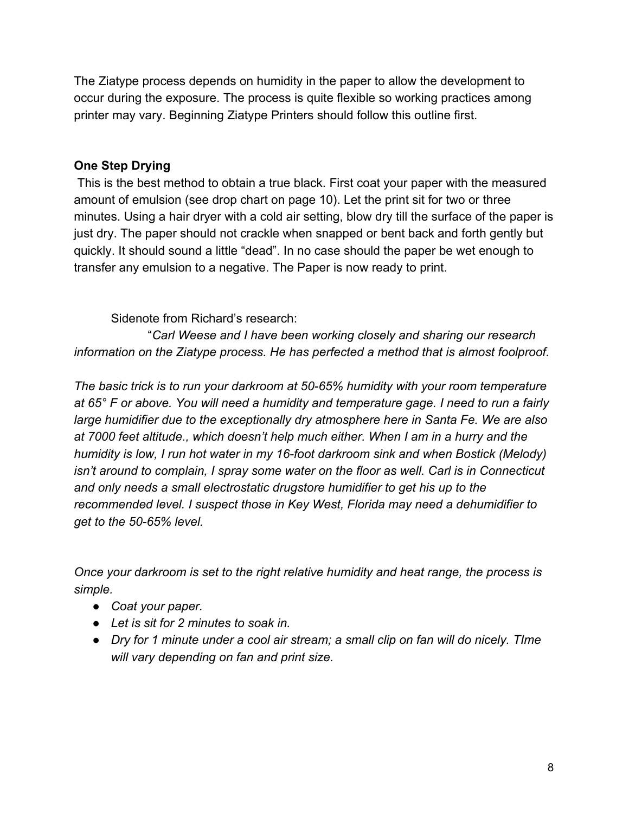The Ziatype process depends on humidity in the paper to allow the development to occur during the exposure. The process is quite flexible so working practices among printer may vary. Beginning Ziatype Printers should follow this outline first.

#### **One Step Drying**

 This is the best method to obtain a true black. First coat your paper with the measured amount of emulsion (see drop chart on page 10). Let the print sit for two or three minutes. Using a hair dryer with a cold air setting, blow dry till the surface of the paper is just dry. The paper should not crackle when snapped or bent back and forth gently but quickly. It should sound a little "dead". In no case should the paper be wet enough to transfer any emulsion to a negative. The Paper is now ready to print.

Sidenote from Richard's research:

"*Carl Weese and I have been working closely and sharing our research information on the Ziatype process. He has perfected a method that is almost foolproof.*

*The basic trick is to run your darkroom at 50-65% humidity with your room temperature at 65° F or above. You will need a humidity and temperature gage. I need to run a fairly large humidifier due to the exceptionally dry atmosphere here in Santa Fe. We are also at 7000 feet altitude., which doesn't help much either. When I am in a hurry and the humidity is low, I run hot water in my 16-foot darkroom sink and when Bostick (Melody) isn't around to complain, I spray some water on the floor as well. Carl is in Connecticut and only needs a small electrostatic drugstore humidifier to get his up to the recommended level. I suspect those in Key West, Florida may need a dehumidifier to get to the 50-65% level.*

*Once your darkroom is set to the right relative humidity and heat range, the process is simple.*

- *● Coat your paper.*
- *● Let is sit for 2 minutes to soak in.*
- *● Dry for 1 minute under a cool air stream; a small clip on fan will do nicely. TIme will vary depending on fan and print size.*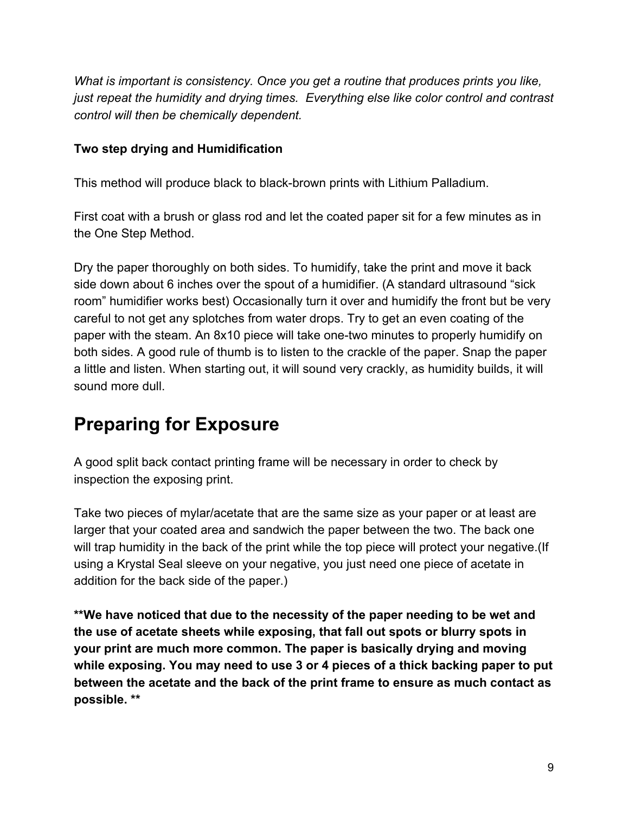*What is important is consistency. Once you get a routine that produces prints you like, just repeat the humidity and drying times. Everything else like color control and contrast control will then be chemically dependent.*

#### **Two step drying and Humidification**

This method will produce black to black-brown prints with Lithium Palladium.

First coat with a brush or glass rod and let the coated paper sit for a few minutes as in the One Step Method.

Dry the paper thoroughly on both sides. To humidify, take the print and move it back side down about 6 inches over the spout of a humidifier. (A standard ultrasound "sick room" humidifier works best) Occasionally turn it over and humidify the front but be very careful to not get any splotches from water drops. Try to get an even coating of the paper with the steam. An 8x10 piece will take one-two minutes to properly humidify on both sides. A good rule of thumb is to listen to the crackle of the paper. Snap the paper a little and listen. When starting out, it will sound very crackly, as humidity builds, it will sound more dull.

# **Preparing for Exposure**

A good split back contact printing frame will be necessary in order to check by inspection the exposing print.

Take two pieces of mylar/acetate that are the same size as your paper or at least are larger that your coated area and sandwich the paper between the two. The back one will trap humidity in the back of the print while the top piece will protect your negative.(If using a Krystal Seal sleeve on your negative, you just need one piece of acetate in addition for the back side of the paper.)

**\*\*We have noticed that due to the necessity of the paper needing to be wet and the use of acetate sheets while exposing, that fall out spots or blurry spots in your print are much more common. The paper is basically drying and moving while exposing. You may need to use 3 or 4 pieces of a thick backing paper to put between the acetate and the back of the print frame to ensure as much contact as possible. \*\***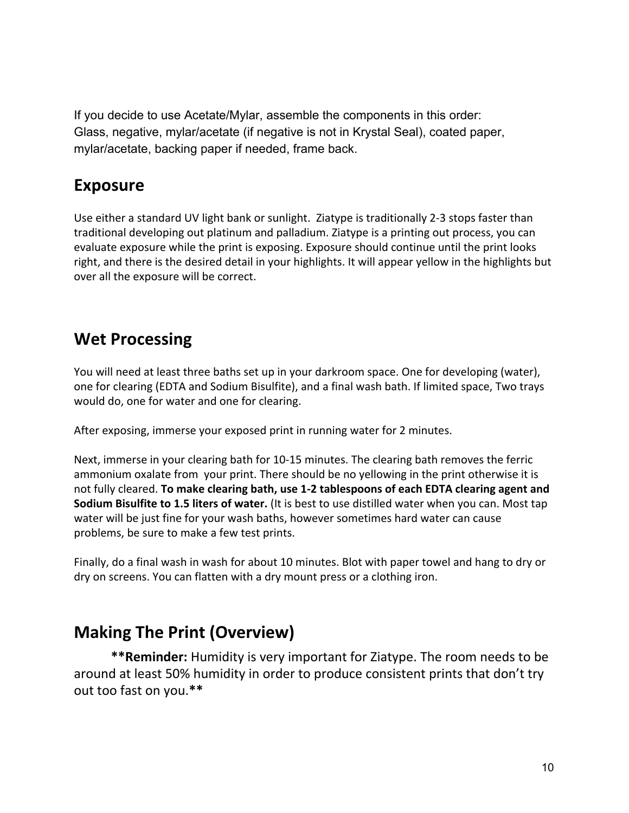If you decide to use Acetate/Mylar, assemble the components in this order: Glass, negative, mylar/acetate (if negative is not in Krystal Seal), coated paper, mylar/acetate, backing paper if needed, frame back.

## **Exposure**

Use either a standard UV light bank or sunlight. Ziatype is traditionally 2-3 stops faster than traditional developing out platinum and palladium. Ziatype is a printing out process, you can evaluate exposure while the print is exposing. Exposure should continue until the print looks right, and there is the desired detail in your highlights. It will appear yellow in the highlights but over all the exposure will be correct.

## **Wet Processing**

You will need at least three baths set up in your darkroom space. One for developing (water), one for clearing (EDTA and Sodium Bisulfite), and a final wash bath. If limited space, Two trays would do, one for water and one for clearing.

After exposing, immerse your exposed print in running water for 2 minutes.

Next, immerse in your clearing bath for 10-15 minutes. The clearing bath removes the ferric ammonium oxalate from your print. There should be no yellowing in the print otherwise it is not fully cleared. **To make clearing bath, use 1-2 tablespoons of each EDTA clearing agent and Sodium Bisulfite to 1.5 liters of water.** (It is best to use distilled water when you can. Most tap water will be just fine for your wash baths, however sometimes hard water can cause problems, be sure to make a few test prints.

Finally, do a final wash in wash for about 10 minutes. Blot with paper towel and hang to dry or dry on screens. You can flatten with a dry mount press or a clothing iron.

## **Making The Print (Overview)**

**\*\*Reminder:** Humidity is very important for Ziatype. The room needs to be around at least 50% humidity in order to produce consistent prints that don't try out too fast on you.**\*\***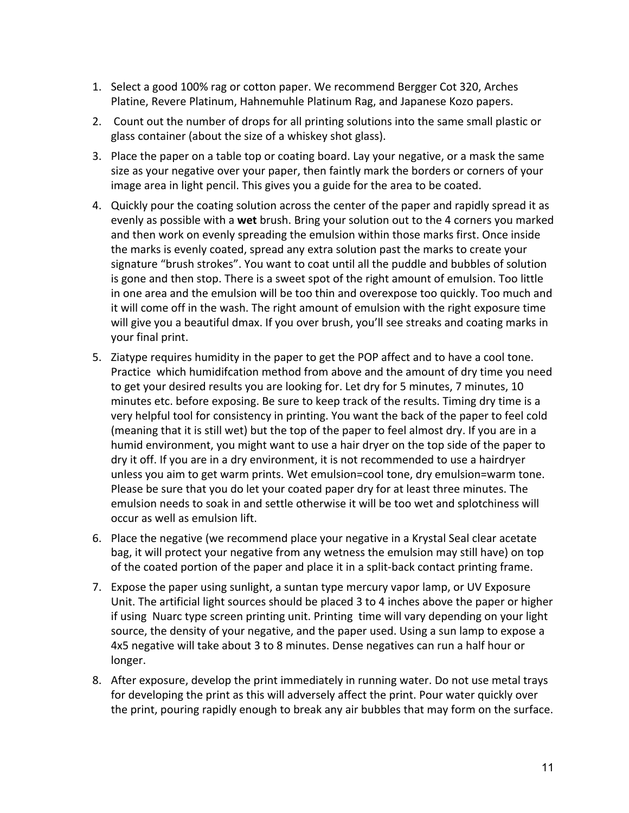- 1. Select a good 100% rag or cotton paper. We recommend Bergger Cot 320, Arches Platine, Revere Platinum, Hahnemuhle Platinum Rag, and Japanese Kozo papers.
- 2. Count out the number of drops for all printing solutions into the same small plastic or glass container (about the size of a whiskey shot glass).
- 3. Place the paper on a table top or coating board. Lay your negative, or a mask the same size as your negative over your paper, then faintly mark the borders or corners of your image area in light pencil. This gives you a guide for the area to be coated.
- 4. Quickly pour the coating solution across the center of the paper and rapidly spread it as evenly as possible with a **wet** brush. Bring your solution out to the 4 corners you marked and then work on evenly spreading the emulsion within those marks first. Once inside the marks is evenly coated, spread any extra solution past the marks to create your signature "brush strokes". You want to coat until all the puddle and bubbles of solution is gone and then stop. There is a sweet spot of the right amount of emulsion. Too little in one area and the emulsion will be too thin and overexpose too quickly. Too much and it will come off in the wash. The right amount of emulsion with the right exposure time will give you a beautiful dmax. If you over brush, you'll see streaks and coating marks in your final print.
- 5. Ziatype requires humidity in the paper to get the POP affect and to have a cool tone. Practice which humidifcation method from above and the amount of dry time you need to get your desired results you are looking for. Let dry for 5 minutes, 7 minutes, 10 minutes etc. before exposing. Be sure to keep track of the results. Timing dry time is a very helpful tool for consistency in printing. You want the back of the paper to feel cold (meaning that it is still wet) but the top of the paper to feel almost dry. If you are in a humid environment, you might want to use a hair dryer on the top side of the paper to dry it off. If you are in a dry environment, it is not recommended to use a hairdryer unless you aim to get warm prints. Wet emulsion=cool tone, dry emulsion=warm tone. Please be sure that you do let your coated paper dry for at least three minutes. The emulsion needs to soak in and settle otherwise it will be too wet and splotchiness will occur as well as emulsion lift.
- 6. Place the negative (we recommend place your negative in a Krystal Seal clear acetate bag, it will protect your negative from any wetness the emulsion may still have) on top of the coated portion of the paper and place it in a split-back contact printing frame.
- 7. Expose the paper using sunlight, a suntan type mercury vapor lamp, or UV Exposure Unit. The artificial light sources should be placed 3 to 4 inches above the paper or higher if using Nuarc type screen printing unit. Printing time will vary depending on your light source, the density of your negative, and the paper used. Using a sun lamp to expose a 4x5 negative will take about 3 to 8 minutes. Dense negatives can run a half hour or longer.
- 8. After exposure, develop the print immediately in running water. Do not use metal trays for developing the print as this will adversely affect the print. Pour water quickly over the print, pouring rapidly enough to break any air bubbles that may form on the surface.